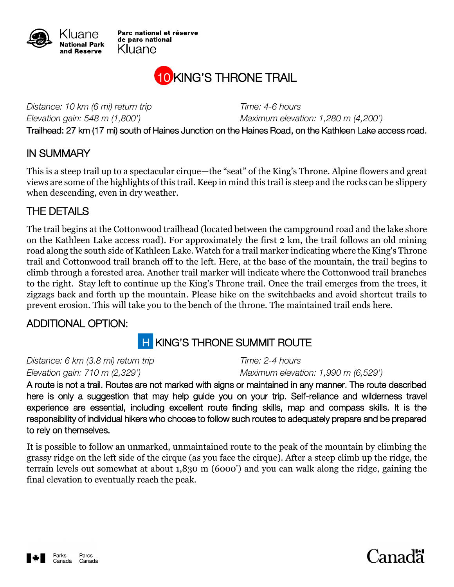

Parc national et réserve de parc national Kluane

## 10 KING'S THRONE TRAIL

*Distance: 10 km (6 mi) return trip Time: 4-6 hours Elevation gain: 548 m (1,800') Maximum elevation: 1,280 m (4,200')* Trailhead: 27 km (17 mi) south of Haines Junction on the Haines Road, on the Kathleen Lake access road.

#### IN SUMMARY

This is a steep trail up to a spectacular cirque—the "seat" of the King's Throne. Alpine flowers and great views are some of the highlights of this trail. Keep in mind this trail is steep and the rocks can be slippery when descending, even in dry weather.

#### THE DETAILS

The trail begins at the Cottonwood trailhead (located between the campground road and the lake shore on the Kathleen Lake access road). For approximately the first 2 km, the trail follows an old mining road along the south side of Kathleen Lake. Watch for a trail marker indicating where the King's Throne trail and Cottonwood trail branch off to the left. Here, at the base of the mountain, the trail begins to climb through a forested area. Another trail marker will indicate where the Cottonwood trail branches to the right. Stay left to continue up the King's Throne trail. Once the trail emerges from the trees, it zigzags back and forth up the mountain. Please hike on the switchbacks and avoid shortcut trails to prevent erosion. This will take you to the bench of the throne. The maintained trail ends here.

#### ADDITIONAL OPTION:

### **H KING'S THRONE SUMMIT ROUTE**

*Distance: 6 km (3.8 mi) return trip Time: 2-4 hours*

*Elevation gain: 710 m (2,329') Maximum elevation: 1,990 m (6,529')*

A route is not a trail. Routes are not marked with signs or maintained in any manner. The route described here is only a suggestion that may help guide you on your trip. Self-reliance and wilderness travel experience are essential, including excellent route finding skills, map and compass skills. It is the responsibility of individual hikers who choose to follow such routes to adequately prepare and be prepared to rely on themselves.

It is possible to follow an unmarked, unmaintained route to the peak of the mountain by climbing the grassy ridge on the left side of the cirque (as you face the cirque). After a steep climb up the ridge, the terrain levels out somewhat at about 1,830 m (6000') and you can walk along the ridge, gaining the final elevation to eventually reach the peak.



# Canadä<sup>r</sup>